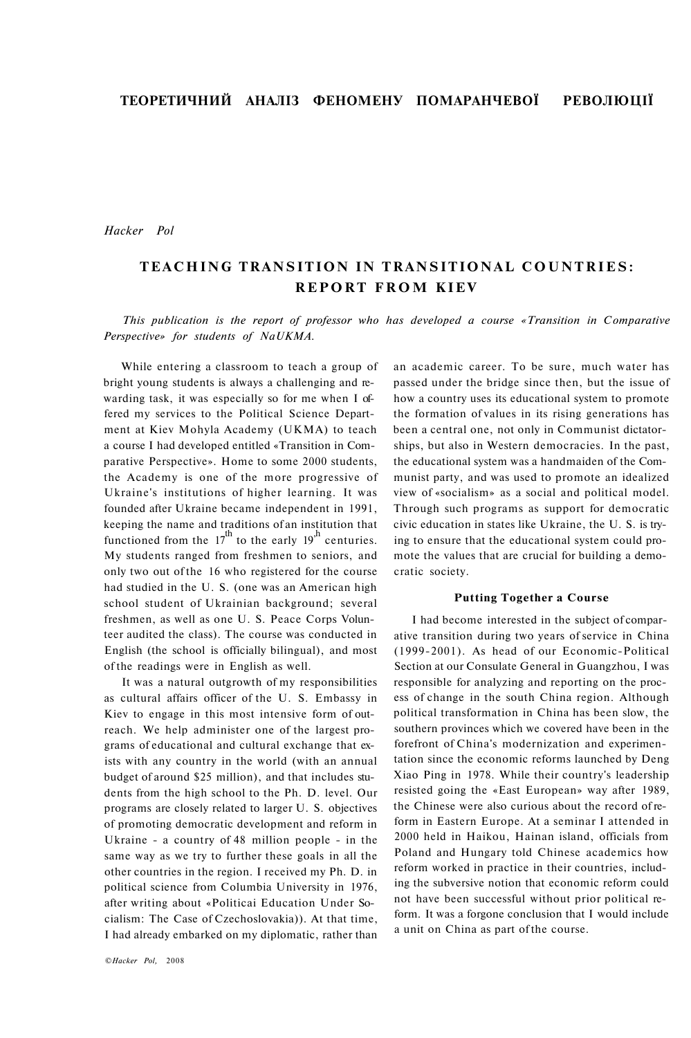*Hacker Pol* 

# **TEACHING TRANSITION IN TRANSITIONAL COUNTRIES: REPORT FROM KIEV**

*This publication is the report of professor who has developed a course «Transition in Comparative Perspective» for students of NaUKMA.* 

While entering a classroom to teach a group of bright young students is always a challenging and rewarding task, it was especially so for me when I offered my services to the Political Science Department at Kiev Mohyla Academy (UKMA) to teach a course I had developed entitled «Transition in Comparative Perspective». Home to some 2000 students, the Academy is one of the more progressive of Ukraine's institutions of higher learning. It was founded after Ukraine became independent in 1991, keeping the name and traditions of an institution that functioned from the  $17<sup>th</sup>$  to the early  $19<sup>th</sup>$  centuries. My students ranged from freshmen to seniors, and only two out of the 16 who registered for the course had studied in the U. S. (one was an American high school student of Ukrainian background; several freshmen, as well as one U. S. Peace Corps Volunteer audited the class). The course was conducted in English (the school is officially bilingual), and most of the readings were in English as well.

It was a natural outgrowth of my responsibilities as cultural affairs officer of the U. S. Embassy in Kiev to engage in this most intensive form of outreach. We help administer one of the largest programs of educational and cultural exchange that exists with any country in the world (with an annual budget of around \$25 million), and that includes students from the high school to the Ph. D. level. Our programs are closely related to larger U. S. objectives of promoting democratic development and reform in Ukraine - a country of 48 million people - in the same way as we try to further these goals in all the other countries in the region. I received my Ph. D. in political science from Columbia University in 1976, after writing about «Politicai Education Under Socialism: The Case of Czechoslovakia)). At that time, I had already embarked on my diplomatic, rather than an academic career. To be sure, much water has passed under the bridge since then, but the issue of how a country uses its educational system to promote the formation of values in its rising generations has been a central one, not only in Communist dictatorships, but also in Western democracies. In the past, the educational system was a handmaiden of the Communist party, and was used to promote an idealized view of «socialism» as a social and political model. Through such programs as support for democratic civic education in states like Ukraine, the U. S. is trying to ensure that the educational system could promote the values that are crucial for building a democratic society.

# **Putting Together a Course**

I had become interested in the subject of comparative transition during two years of service in China (1999-2001). As head of our Economic-Political Section at our Consulate General in Guangzhou, I was responsible for analyzing and reporting on the process of change in the south China region. Although political transformation in China has been slow, the southern provinces which we covered have been in the forefront of China's modernization and experimentation since the economic reforms launched by Deng Xiao Ping in 1978. While their country's leadership resisted going the «East European» way after 1989, the Chinese were also curious about the record of reform in Eastern Europe. At a seminar I attended in 2000 held in Haikou, Hainan island, officials from Poland and Hungary told Chinese academics how reform worked in practice in their countries, including the subversive notion that economic reform could not have been successful without prior political reform. It was a forgone conclusion that I would include a unit on China as part of the course.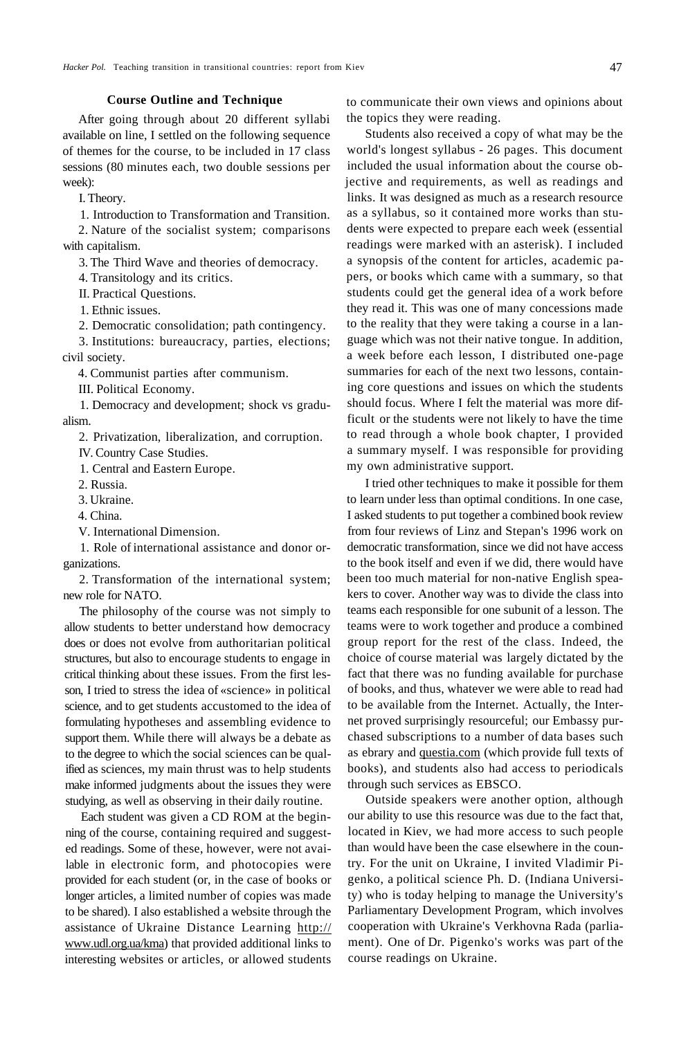### **Course Outline and Technique**

After going through about 20 different syllabi available on line, I settled on the following sequence of themes for the course, to be included in 17 class sessions (80 minutes each, two double sessions per week):

I. Theory.

1. Introduction to Transformation and Transition.

2. Nature of the socialist system; comparisons with capitalism.

3. The Third Wave and theories of democracy.

4. Transitology and its critics.

II. Practical Questions.

1. Ethnic issues.

2. Democratic consolidation; path contingency.

3. Institutions: bureaucracy, parties, elections; civil society.

4. Communist parties after communism.

III. Political Economy.

1. Democracy and development; shock vs gradualism.

2. Privatization, liberalization, and corruption.

IV. Country Case Studies.

1. Central and Eastern Europe.

2. Russia.

3. Ukraine.

4. China.

V. International Dimension.

1. Role of international assistance and donor organizations.

2. Transformation of the international system; new role for NATO.

The philosophy of the course was not simply to allow students to better understand how democracy does or does not evolve from authoritarian political structures, but also to encourage students to engage in critical thinking about these issues. From the first lesson, I tried to stress the idea of «science» in political science, and to get students accustomed to the idea of formulating hypotheses and assembling evidence to support them. While there will always be a debate as to the degree to which the social sciences can be qualified as sciences, my main thrust was to help students make informed judgments about the issues they were studying, as well as observing in their daily routine.

Each student was given a CD ROM at the beginning of the course, containing required and suggested readings. Some of these, however, were not available in electronic form, and photocopies were provided for each student (or, in the case of books or longer articles, a limited number of copies was made to be shared). I also established a website through the assistance of Ukraine Distance Learning <http://> [www.udl.org.ua/kma\)](http://www.udl.org.ua/kma) that provided additional links to interesting websites or articles, or allowed students to communicate their own views and opinions about the topics they were reading.

Students also received a copy of what may be the world's longest syllabus - 26 pages. This document included the usual information about the course objective and requirements, as well as readings and links. It was designed as much as a research resource as a syllabus, so it contained more works than students were expected to prepare each week (essential readings were marked with an asterisk). I included a synopsis of the content for articles, academic papers, or books which came with a summary, so that students could get the general idea of a work before they read it. This was one of many concessions made to the reality that they were taking a course in a language which was not their native tongue. In addition, a week before each lesson, I distributed one-page summaries for each of the next two lessons, containing core questions and issues on which the students should focus. Where I felt the material was more difficult or the students were not likely to have the time to read through a whole book chapter, I provided a summary myself. I was responsible for providing my own administrative support.

I tried other techniques to make it possible for them to learn under less than optimal conditions. In one case, I asked students to put together a combined book review from four reviews of Linz and Stepan's 1996 work on democratic transformation, since we did not have access to the book itself and even if we did, there would have been too much material for non-native English speakers to cover. Another way was to divide the class into teams each responsible for one subunit of a lesson. The teams were to work together and produce a combined group report for the rest of the class. Indeed, the choice of course material was largely dictated by the fact that there was no funding available for purchase of books, and thus, whatever we were able to read had to be available from the Internet. Actually, the Internet proved surprisingly resourceful; our Embassy purchased subscriptions to a number of data bases such as ebrary and [questia.com \(](http://questia.com)which provide full texts of books), and students also had access to periodicals through such services as EBSCO.

Outside speakers were another option, although our ability to use this resource was due to the fact that, located in Kiev, we had more access to such people than would have been the case elsewhere in the country. For the unit on Ukraine, I invited Vladimir Pigenko, a political science Ph. D. (Indiana University) who is today helping to manage the University's Parliamentary Development Program, which involves cooperation with Ukraine's Verkhovna Rada (parliament). One of Dr. Pigenko's works was part of the course readings on Ukraine.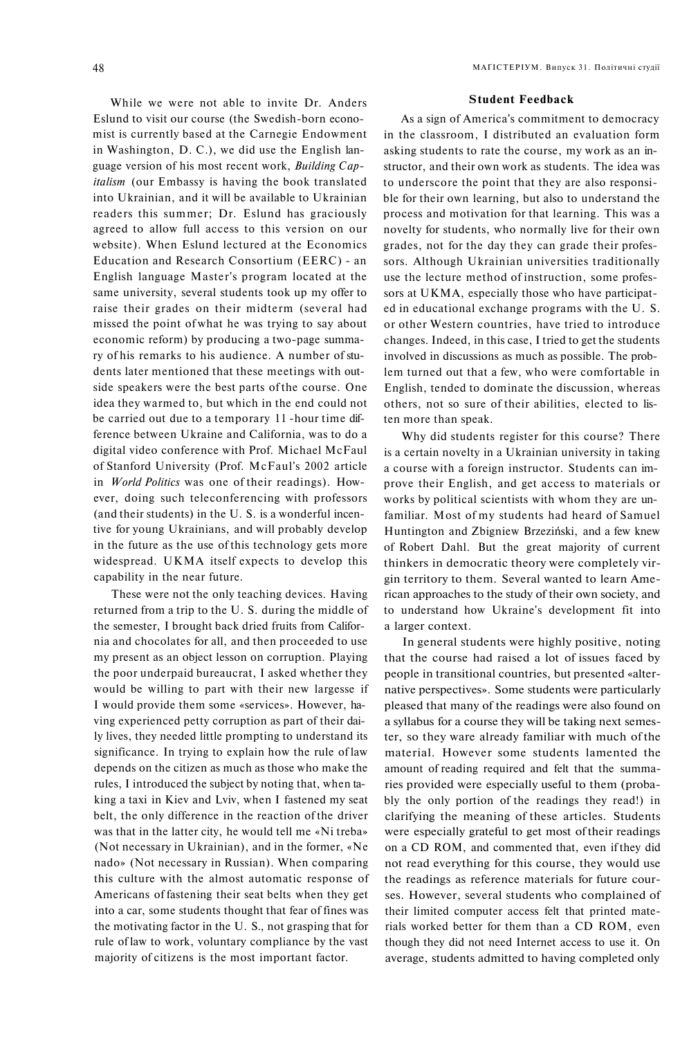While we were not able to invite Dr. Anders Eslund to visit our course (the Swedish-born economist is currently based at the Carnegie Endowment in Washington, D. C.), we did use the English language version of his most recent work, *Building Capitalism* (our Embassy is having the book translated into Ukrainian, and it will be available to Ukrainian readers this summer; Dr. Eslund has graciously agreed to allow full access to this version on our website). When Eslund lectured at the Economics Education and Research Consortium (EERC) - an English language Master's program located at the same university, several students took up my offer to raise their grades on their midterm (several had missed the point of what he was trying to say about economic reform) by producing a two-page summary of his remarks to his audience. A number of students later mentioned that these meetings with outside speakers were the best parts of the course. One idea they warmed to, but which in the end could not be carried out due to a temporary 11 -hour time difference between Ukraine and California, was to do a digital video conference with Prof. Michael McFaul of Stanford University (Prof. McFaul's 2002 article in *World Politics* was one of their readings). However, doing such teleconferencing with professors (and their students) in the U. S. is a wonderful incentive for young Ukrainians, and will probably develop in the future as the use of this technology gets more widespread. UKMA itself expects to develop this capability in the near future.

These were not the only teaching devices. Having returned from a trip to the U. S. during the middle of the semester, I brought back dried fruits from California and chocolates for all, and then proceeded to use my present as an object lesson on corruption. Playing the poor underpaid bureaucrat, I asked whether they would be willing to part with their new largesse if I would provide them some «services». However, having experienced petty corruption as part of their daily lives, they needed little prompting to understand its significance. In trying to explain how the rule of law depends on the citizen as much as those who make the rules, I introduced the subject by noting that, when taking a taxi in Kiev and Lviv, when I fastened my seat belt, the only difference in the reaction of the driver was that in the latter city, he would tell me «Ni treba» (Not necessary in Ukrainian), and in the former, «Ne nado» (Not necessary in Russian). When comparing this culture with the almost automatic response of Americans of fastening their seat belts when they get into a car, some students thought that fear of fines was the motivating factor in the U. S., not grasping that for rule of law to work, voluntary compliance by the vast majority of citizens is the most important factor.

#### **Student Feedback**

As a sign of America's commitment to democracy in the classroom, I distributed an evaluation form asking students to rate the course, my work as an instructor, and their own work as students. The idea was to underscore the point that they are also responsible for their own learning, but also to understand the process and motivation for that learning. This was a novelty for students, who normally live for their own grades, not for the day they can grade their professors. Although Ukrainian universities traditionally use the lecture method of instruction, some professors at UKMA, especially those who have participated in educational exchange programs with the U. S. or other Western countries, have tried to introduce changes. Indeed, in this case, I tried to get the students involved in discussions as much as possible. The problem turned out that a few, who were comfortable in English, tended to dominate the discussion, whereas others, not so sure of their abilities, elected to listen more than speak.

Why did students register for this course? There is a certain novelty in a Ukrainian university in taking a course with a foreign instructor. Students can improve their English, and get access to materials or works by political scientists with whom they are unfamiliar. Most of my students had heard of Samuel Huntington and Zbigniew Brzeziński, and a few knew of Robert Dahl. But the great majority of current thinkers in democratic theory were completely virgin territory to them. Several wanted to learn American approaches to the study of their own society, and to understand how Ukraine's development fit into a larger context.

In general students were highly positive, noting that the course had raised a lot of issues faced by people in transitional countries, but presented «alternative perspectives». Some students were particularly pleased that many of the readings were also found on a syllabus for a course they will be taking next semester, so they ware already familiar with much of the material. However some students lamented the amount of reading required and felt that the summaries provided were especially useful to them (probably the only portion of the readings they read!) in clarifying the meaning of these articles. Students were especially grateful to get most of their readings on a CD ROM, and commented that, even if they did not read everything for this course, they would use the readings as reference materials for future courses. However, several students who complained of their limited computer access felt that printed materials worked better for them than a CD ROM, even though they did not need Internet access to use it. On average, students admitted to having completed only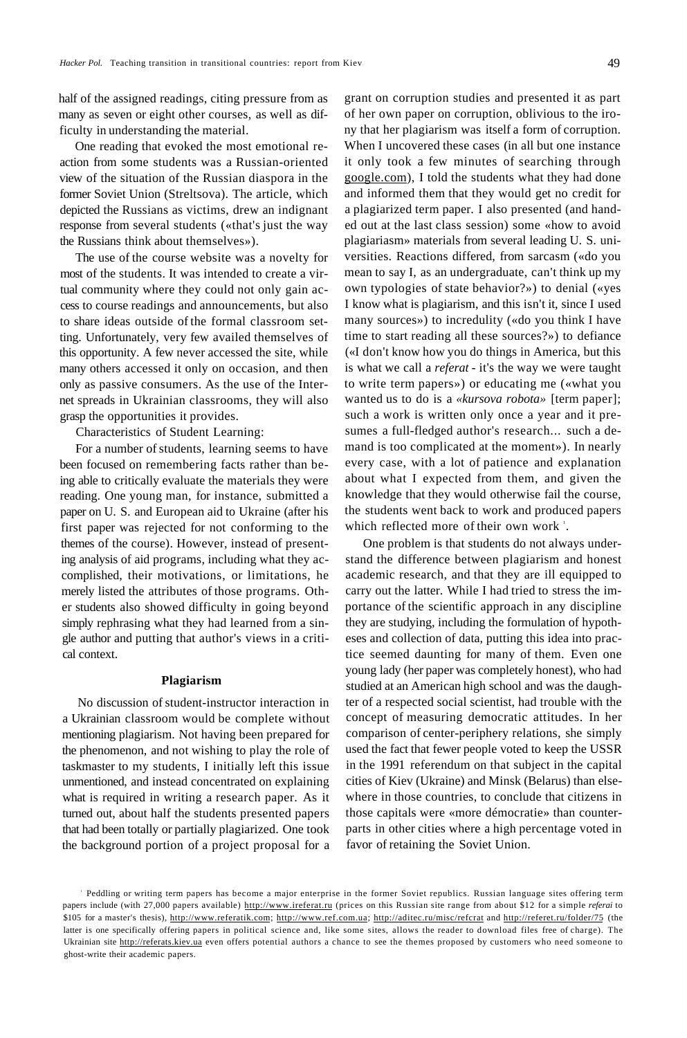half of the assigned readings, citing pressure from as many as seven or eight other courses, as well as difficulty in understanding the material.

One reading that evoked the most emotional reaction from some students was a Russian-oriented view of the situation of the Russian diaspora in the former Soviet Union (Streltsova). The article, which depicted the Russians as victims, drew an indignant response from several students («that's just the way the Russians think about themselves»).

The use of the course website was a novelty for most of the students. It was intended to create a virtual community where they could not only gain access to course readings and announcements, but also to share ideas outside of the formal classroom setting. Unfortunately, very few availed themselves of this opportunity. A few never accessed the site, while many others accessed it only on occasion, and then only as passive consumers. As the use of the Internet spreads in Ukrainian classrooms, they will also grasp the opportunities it provides.

Characteristics of Student Learning:

For a number of students, learning seems to have been focused on remembering facts rather than being able to critically evaluate the materials they were reading. One young man, for instance, submitted a paper on U. S. and European aid to Ukraine (after his first paper was rejected for not conforming to the themes of the course). However, instead of presenting analysis of aid programs, including what they accomplished, their motivations, or limitations, he merely listed the attributes of those programs. Other students also showed difficulty in going beyond simply rephrasing what they had learned from a single author and putting that author's views in a critical context.

#### **Plagiarism**

No discussion of student-instructor interaction in a Ukrainian classroom would be complete without mentioning plagiarism. Not having been prepared for the phenomenon, and not wishing to play the role of taskmaster to my students, I initially left this issue unmentioned, and instead concentrated on explaining what is required in writing a research paper. As it turned out, about half the students presented papers that had been totally or partially plagiarized. One took the background portion of a project proposal for a grant on corruption studies and presented it as part of her own paper on corruption, oblivious to the irony that her plagiarism was itself a form of corruption. When I uncovered these cases (in all but one instance it only took a few minutes of searching through [google.com\)](http://google.com), I told the students what they had done and informed them that they would get no credit for a plagiarized term paper. I also presented (and handed out at the last class session) some «how to avoid plagiariasm» materials from several leading U. S. universities. Reactions differed, from sarcasm («do you mean to say I, as an undergraduate, can't think up my own typologies of state behavior?») to denial («yes I know what is plagiarism, and this isn't it, since I used many sources») to incredulity («do you think I have time to start reading all these sources?») to defiance («I don't know how you do things in America, but this is what we call a *referat* - it's the way we were taught to write term papers») or educating me («what you wanted us to do is a *«kursova robota»* [term paper]; such a work is written only once a year and it presumes a full-fledged author's research... such a demand is too complicated at the moment»). In nearly every case, with a lot of patience and explanation about what I expected from them, and given the knowledge that they would otherwise fail the course, the students went back to work and produced papers which reflected more of their own work<sup>1</sup>.

One problem is that students do not always understand the difference between plagiarism and honest academic research, and that they are ill equipped to carry out the latter. While I had tried to stress the importance of the scientific approach in any discipline they are studying, including the formulation of hypotheses and collection of data, putting this idea into practice seemed daunting for many of them. Even one young lady (her paper was completely honest), who had studied at an American high school and was the daughter of a respected social scientist, had trouble with the concept of measuring democratic attitudes. In her comparison of center-periphery relations, she simply used the fact that fewer people voted to keep the USSR in the 1991 referendum on that subject in the capital cities of Kiev (Ukraine) and Minsk (Belarus) than elsewhere in those countries, to conclude that citizens in those capitals were «more démocratie» than counterparts in other cities where a high percentage voted in favor of retaining the Soviet Union.

<sup>1</sup> Peddling or writing term papers has become a major enterprise in the former Soviet republics. Russian language sites offering term papers include (with 27,000 papers available) [http://www.ireferat.ru \(](http://www.ireferat.ru)prices on this Russian site range from about \$12 for a simple *referai* to \$105 for a master's thesis), [http://www.referatik.com;](http://www.referatik.com) [http://www.ref.com.ua;](http://www.ref.com.ua) [http://aditec.ru/misc/refcrat a](http://aditec.ru/misc/refcrat)nd <http://referet.ru/folder/75>(the latter is one specifically offering papers in political science and, like some sites, allows the reader to download files free of charge). The Ukrainian site [http://referats.kiev.ua e](http://referats.kiev.ua)ven offers potential authors a chance to see the themes proposed by customers who need someone to ghost-write their academic papers.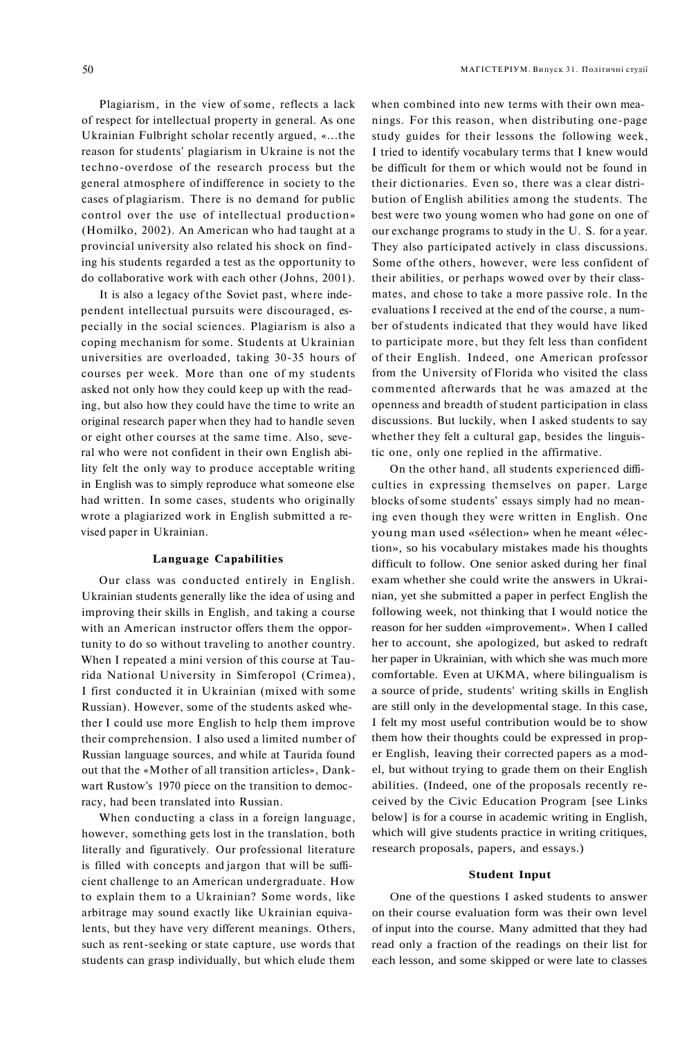Plagiarism, in the view of some, reflects a lack of respect for intellectual property in general. As one

Ukrainian Fulbright scholar recently argued, «...the reason for students' plagiarism in Ukraine is not the techno-overdose of the research process but the general atmosphere of indifference in society to the cases of plagiarism. There is no demand for public control over the use of intellectual production» (Homilko, 2002). An American who had taught at a provincial university also related his shock on finding his students regarded a test as the opportunity to do collaborative work with each other (Johns, 2001).

It is also a legacy of the Soviet past, where independent intellectual pursuits were discouraged, especially in the social sciences. Plagiarism is also a coping mechanism for some. Students at Ukrainian universities are overloaded, taking 30-35 hours of courses per week. More than one of my students asked not only how they could keep up with the reading, but also how they could have the time to write an original research paper when they had to handle seven or eight other courses at the same time. Also, several who were not confident in their own English ability felt the only way to produce acceptable writing in English was to simply reproduce what someone else had written. In some cases, students who originally wrote a plagiarized work in English submitted a revised paper in Ukrainian.

### **Language Capabilities**

Our class was conducted entirely in English. Ukrainian students generally like the idea of using and improving their skills in English, and taking a course with an American instructor offers them the opportunity to do so without traveling to another country. When I repeated a mini version of this course at Taurida National University in Simferopol (Crimea), I first conducted it in Ukrainian (mixed with some Russian). However, some of the students asked whether I could use more English to help them improve their comprehension. I also used a limited number of Russian language sources, and while at Taurida found out that the «Mother of all transition articles», Dankwart Rustow's 1970 piece on the transition to democracy, had been translated into Russian.

When conducting a class in a foreign language, however, something gets lost in the translation, both literally and figuratively. Our professional literature is filled with concepts and jargon that will be sufficient challenge to an American undergraduate. How to explain them to a Ukrainian? Some words, like arbitrage may sound exactly like Ukrainian equivalents, but they have very different meanings. Others, such as rent-seeking or state capture, use words that students can grasp individually, but which elude them

when combined into new terms with their own meanings. For this reason, when distributing one-page study guides for their lessons the following week, I tried to identify vocabulary terms that I knew would be difficult for them or which would not be found in their dictionaries. Even so, there was a clear distribution of English abilities among the students. The best were two young women who had gone on one of our exchange programs to study in the U. S. for a year. They also participated actively in class discussions. Some of the others, however, were less confident of their abilities, or perhaps wowed over by their classmates, and chose to take a more passive role. In the evaluations I received at the end of the course, a number of students indicated that they would have liked to participate more, but they felt less than confident of their English. Indeed, one American professor from the University of Florida who visited the class commented afterwards that he was amazed at the openness and breadth of student participation in class discussions. But luckily, when I asked students to say whether they felt a cultural gap, besides the linguistic one, only one replied in the affirmative.

On the other hand, all students experienced difficulties in expressing themselves on paper. Large blocks of some students' essays simply had no meaning even though they were written in English. One young man used «sélection» when he meant «élection», so his vocabulary mistakes made his thoughts difficult to follow. One senior asked during her final exam whether she could write the answers in Ukrainian, yet she submitted a paper in perfect English the following week, not thinking that I would notice the reason for her sudden «improvement». When I called her to account, she apologized, but asked to redraft her paper in Ukrainian, with which she was much more comfortable. Even at UKMA, where bilingualism is a source of pride, students' writing skills in English are still only in the developmental stage. In this case, I felt my most useful contribution would be to show them how their thoughts could be expressed in proper English, leaving their corrected papers as a model, but without trying to grade them on their English abilities. (Indeed, one of the proposals recently received by the Civic Education Program [see Links below] is for a course in academic writing in English, which will give students practice in writing critiques, research proposals, papers, and essays.)

#### **Student Input**

One of the questions I asked students to answer on their course evaluation form was their own level of input into the course. Many admitted that they had read only a fraction of the readings on their list for each lesson, and some skipped or were late to classes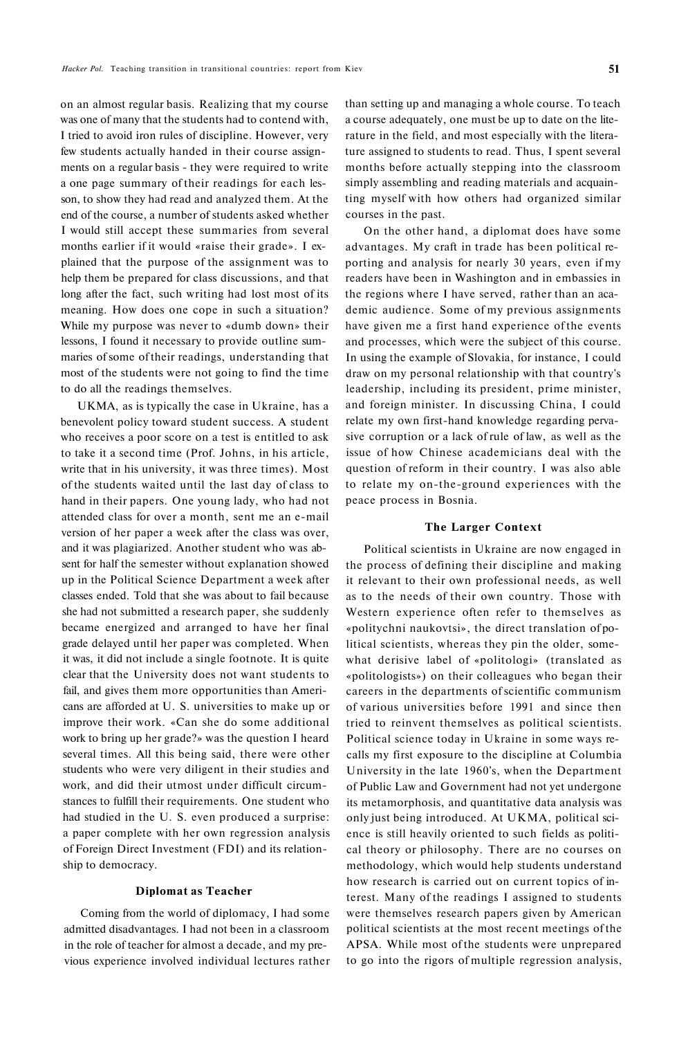on an almost regular basis. Realizing that my course was one of many that the students had to contend with, I tried to avoid iron rules of discipline. However, very few students actually handed in their course assignments on a regular basis - they were required to write a one page summary of their readings for each lesson, to show they had read and analyzed them. At the end of the course, a number of students asked whether I would still accept these summaries from several months earlier if it would «raise their grade». I explained that the purposе of the assignment was to help them be prepared for class discussions, and that long after the fact, such writing had lost most of its meaning. How does one cope in such a situation? While my purpose was never to «dumb down» their lessons, I found it necessary to provide outline summaries of some of their readings, understanding that most of the students were not going to find the time to do all the readings themselves.

UKMA, as is typically the case in Ukraine, has a benevolent policy toward student success. A student who receives a poor score on a test is entitled to ask to take it a second time (Prof. Johns, in his article, write that in his university, it was three times). Most of the students waited until the last day of class to hand in their papers. One young lady, who had not attended class for over a month, sent me an e-mail version of her paper a week after the class was over, and it was plagiarized. Another student who was absent for half the semester without explanation showed up in the Political Science Department a week after classes ended. Told that she was about to fail because she had not submitted a research paper, she suddenly became energized and arranged to have her final grade delayed until her paper was completed. When it was, it did not include a single footnote. It is quite clear that the University does not want students to fail, and gives them more opportunities than Americans are afforded at U. S. universities to make up or improve their work. «Can she do some additional work to bring up her grade?» was the question I heard several times. All this being said, there were other students who were very diligent in their studies and work, and did their utmost under difficult circumstances to fulfill their requirements. One student who had studied in the U. S. even produced a surprise: a paper complete with her own regression analysis of Foreign Direct Investment (FDI) and its relationship to democracy.

#### **Diplomat as Teacher**

Coming from the world of diplomacy, I had some admitted disadvantages. I had not been in a classroom in the role of teacher for almost a decade, and my previous experience involved individual lectures rather

than setting up and managing a whole course. To teach a course adequately, one must be up to date on the literature in the field, and most especially with the literature assigned to students to read. Thus, I spent several months before actually stepping into the classroom simply assembling and reading materials and acquainting myself with how others had organized similar courses in the past.

On the other hand, a diplomat does have some advantages. My craft in trade has been political reporting and analysis for nearly 30 years, even if my readers have been in Washington and in embassies in the regions where I have served, rather than an academic audience. Some of my previous assignments have given me a first hand experience of the events and processes, which were the subject of this course. In using the example of Slovakia, for instance, I could draw on my personal relationship with that country's leadership, including its president, prime minister, and foreign minister. In discussing China, I could relate my own first-hand knowledge regarding pervasive corruption or a lack of rule of law, as well as the issue of how Chinese academicians deal with the question of reform in their country. I was also able to relate my on-the-ground experiences with the peace process in Bosnia.

## **The Larger Context**

Political scientists in Ukraine are now engaged in the process of defining their discipline and making it relevant to their own professional needs, as well as to the needs of their own country. Those with Western experience often refer to themselves as «politychni naukovtsi», the direct translation of political scientists, whereas they pin the older, somewhat derisive label of «politologi» (translated as «politologists») on their colleagues who began their careers in the departments of scientific communism of various universities before 1991 and since then tried to reinvent themselves as political scientists. Political science today in Ukraine in some ways recalls my first exposure to the discipline at Columbia University in the late 1960's, when the Department of Public Law and Government had not yet undergone its metamorphosis, and quantitative data analysis was only just being introduced. At UKMA, political science is still heavily oriented to such fields as political theory or philosophy. There are no courses on methodology, which would help students understand how research is carried out on current topics of interest. Many of the readings I assigned to students were themselves research papers given by American political scientists at the most recent meetings of the APSA. While most of the students were unprepared to go into the rigors of multiple regression analysis,